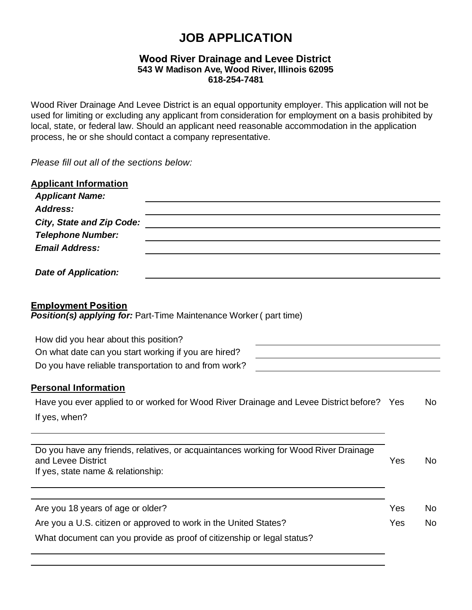# **JOB APPLICATION**

## **Wood River Drainage and Levee District 543 W Madison Ave, Wood River, Illinois 62095 618-254-7481**

Wood River Drainage And Levee District is an equal opportunity employer. This application will not be used for limiting or excluding any applicant from consideration for employment on a basis prohibited by local, state, or federal law. Should an applicant need reasonable accommodation in the application process, he or she should contact a company representative.

*Please fill out all of the sections below:*

| <b>Applicant Information</b><br><b>Applicant Name:</b>                                           |     |           |  |
|--------------------------------------------------------------------------------------------------|-----|-----------|--|
| Address:                                                                                         |     |           |  |
| <b>City, State and Zip Code:</b>                                                                 |     |           |  |
| <b>Telephone Number:</b>                                                                         |     |           |  |
| <b>Email Address:</b>                                                                            |     |           |  |
| <b>Date of Application:</b>                                                                      |     |           |  |
| <b>Employment Position</b><br>Position(s) applying for: Part-Time Maintenance Worker (part time) |     |           |  |
| How did you hear about this position?                                                            |     |           |  |
| On what date can you start working if you are hired?                                             |     |           |  |
| Do you have reliable transportation to and from work?                                            |     |           |  |
| <b>Personal Information</b>                                                                      |     |           |  |
| Have you ever applied to or worked for Wood River Drainage and Levee District before? Yes        |     | <b>No</b> |  |
| If yes, when?                                                                                    |     |           |  |
| Do you have any friends, relatives, or acquaintances working for Wood River Drainage             |     |           |  |
| and Levee District                                                                               | Yes | <b>No</b> |  |
| If yes, state name & relationship:                                                               |     |           |  |
|                                                                                                  |     |           |  |
| Are you 18 years of age or older?                                                                | Yes | No.       |  |
| Are you a U.S. citizen or approved to work in the United States?                                 | Yes | <b>No</b> |  |
| What document can you provide as proof of citizenship or legal status?                           |     |           |  |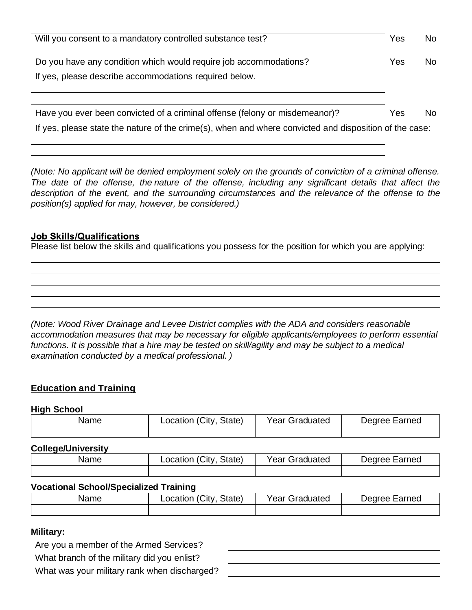| Will you consent to a mandatory controlled substance test?                                                                                                                            | Yes | No. |
|---------------------------------------------------------------------------------------------------------------------------------------------------------------------------------------|-----|-----|
| Do you have any condition which would require job accommodations?<br>If yes, please describe accommodations required below.                                                           | Yes | No. |
| Have you ever been convicted of a criminal offense (felony or misdemeanor)?<br>If yes, please state the nature of the crime(s), when and where convicted and disposition of the case: | Yes | No. |

*(Note: No applicant will be denied employment solely on the grounds of conviction of a criminal offense. The date of the offense, the nature of the offense, including any significant details that affect the description of the event, and the surrounding circumstances and the relevance of the offense to the position(s) applied for may, however, be considered.)*

### **Job Skills/Qualifications**

Please list below the skills and qualifications you possess for the position for which you are applying:

*(Note: Wood River Drainage and Levee District complies with the ADA and considers reasonable accommodation measures that may be necessary for eligible applicants/employees to perform essential* functions. It is possible that a hire may be tested on skill/agility and may be subject to a medical *examination conducted by a medical professional. )*

## **Education and Training**

#### **High School**

| Name | ∟ocation (City,<br>State) | Year Graduated | Degree Earned |
|------|---------------------------|----------------|---------------|
|      |                           |                |               |

#### **College/University**

| Name | State)<br>∴it∨<br>_ocation ( <i>'</i> | rear (<br>Graduated | Dearee '<br>:arned |
|------|---------------------------------------|---------------------|--------------------|
|      |                                       |                     |                    |

## **Vocational School/Specialized Training**

| Name | Location (City<br>State) | Year C<br>Graduated | Degree Earned |
|------|--------------------------|---------------------|---------------|
|      |                          |                     |               |

## **Military:**

Are you a member of the Armed Services?

What branch of the military did you enlist?

What was your military rank when discharged?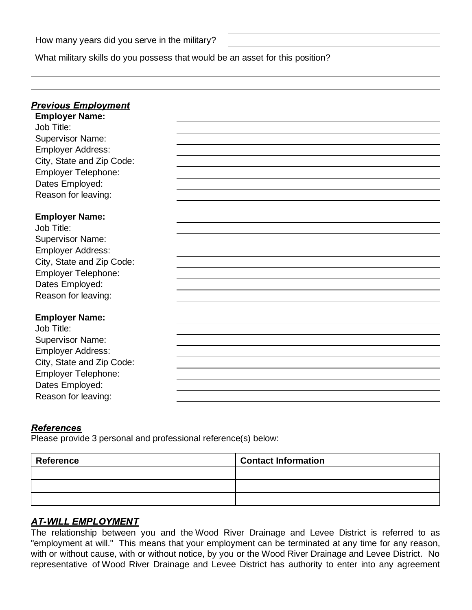What military skills do you possess that would be an asset for this position?

| <u> Previous Employment</u>         |  |
|-------------------------------------|--|
| <b>Employer Name:</b>               |  |
| Job Title:                          |  |
| <b>Supervisor Name:</b>             |  |
| <b>Employer Address:</b>            |  |
| City, State and Zip Code:           |  |
| <b>Employer Telephone:</b>          |  |
| Dates Employed:                     |  |
| Reason for leaving:                 |  |
|                                     |  |
| <b>Employer Name:</b>               |  |
| Job Title:                          |  |
| <b>Supervisor Name:</b>             |  |
| <b>Employer Address:</b>            |  |
| City, State and Zip Code:           |  |
| <b>Employer Telephone:</b>          |  |
| Dates Employed:                     |  |
| Reason for leaving:                 |  |
|                                     |  |
| <b>Employer Name:</b><br>Job Title: |  |
|                                     |  |
| <b>Supervisor Name:</b>             |  |
| <b>Employer Address:</b>            |  |
| City, State and Zip Code:           |  |
| <b>Employer Telephone:</b>          |  |
| Dates Employed:                     |  |
| Reason for leaving:                 |  |

## **References**

Please provide 3 personal and professional reference(s) below:

| <b>Reference</b> | <b>Contact Information</b> |
|------------------|----------------------------|
|                  |                            |
|                  |                            |
|                  |                            |

## **AT-WILL EMPLOYMENT**

The relationship between you and the Wood River Drainage and Levee District is referred to as "employment at will." This means that your employment can be terminated at any time for any reason, with or without cause, with or without notice, by you or the Wood River Drainage and Levee District. No representative of Wood River Drainage and Levee District has authority to enter into any agreement